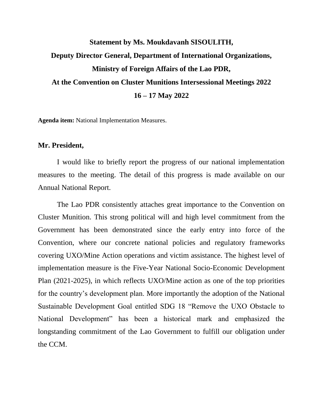## **Statement by Ms. Moukdavanh SISOULITH, Deputy Director General, Department of International Organizations, Ministry of Foreign Affairs of the Lao PDR, At the Convention on Cluster Munitions Intersessional Meetings 2022 16 – 17 May 2022**

**Agenda item:** National Implementation Measures.

## **Mr. President,**

I would like to briefly report the progress of our national implementation measures to the meeting. The detail of this progress is made available on our Annual National Report.

The Lao PDR consistently attaches great importance to the Convention on Cluster Munition. This strong political will and high level commitment from the Government has been demonstrated since the early entry into force of the Convention, where our concrete national policies and regulatory frameworks covering UXO/Mine Action operations and victim assistance. The highest level of implementation measure is the Five-Year National Socio-Economic Development Plan (2021-2025), in which reflects UXO/Mine action as one of the top priorities for the country's development plan. More importantly the adoption of the National Sustainable Development Goal entitled SDG 18 "Remove the UXO Obstacle to National Development" has been a historical mark and emphasized the longstanding commitment of the Lao Government to fulfill our obligation under the CCM.